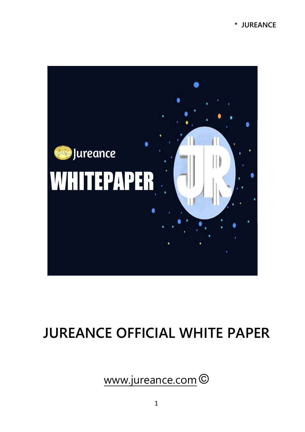#### **\* JUREANCE**



# **JUREANCE OFFICIAL WHITE PAPER**

www.jureance.com ©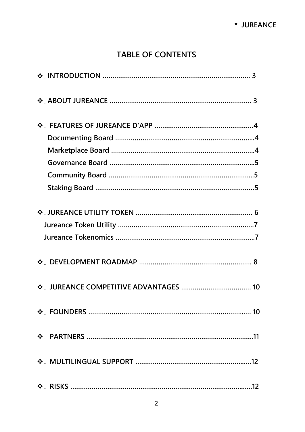# **TABLE OF CONTENTS**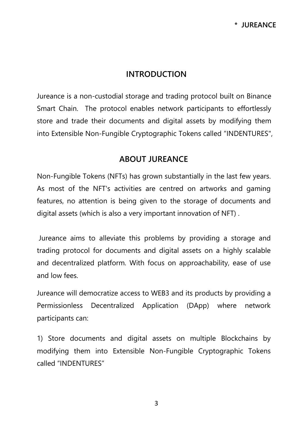### **INTRODUCTION**

Jureance is a non-custodial storage and trading protocol built on Binance Smart Chain. The protocol enables network participants to effortlessly store and trade their documents and digital assets by modifying them into Extensible Non-Fungible Cryptographic Tokens called "INDENTURES",

#### **ABOUT JUREANCE**

Non-Fungible Tokens (NFTs) has grown substantially in the last few years. As most of the NFT's activities are centred on artworks and gaming features, no attention is being given to the storage of documents and digital assets (which is also a very important innovation of NFT) .

Jureance aims to alleviate this problems by providing a storage and trading protocol for documents and digital assets on a highly scalable and decentralized platform. With focus on approachability, ease of use and low fees.

Jureance will democratize access to WEB3 and its products by providing a Permissionless Decentralized Application (DApp) where network participants can:

1) Store documents and digital assets on multiple Blockchains by modifying them into Extensible Non-Fungible Cryptographic Tokens called "INDENTURES"

3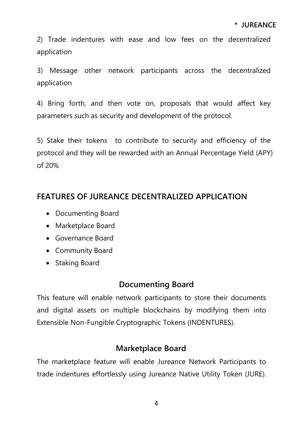2) Trade indentures with ease and low fees on the decentralized application

3) Message other network participants across the decentralized application

4) Bring forth, and then vote on, proposals that would affect key parameters such as security and development of the protocol.

5) Stake their tokens to contribute to security and efficiency of the protocol and they will be rewarded with an Annual Percentage Yield (APY) of 20%

# **FEATURES OF JUREANCE DECENTRALIZED APPLICATION**

- Documenting Board
- Marketplace Board
- Governance Board
- Community Board
- Staking Board

# **Documenting Board**

This feature will enable network participants to store their documents and digital assets on multiple blockchains by modifying them into Extensible Non-Fungible Cryptographic Tokens (INDENTURES).

# **Marketplace Board**

The marketplace feature will enable Jureance Network Participants to trade indentures effortlessly using Jureance Native Utility Token (JURE).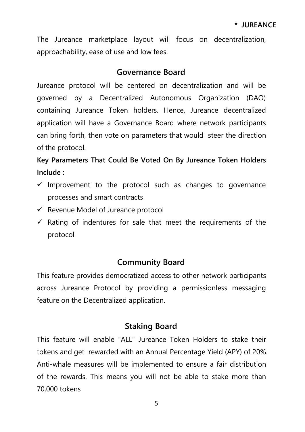The Jureance marketplace layout will focus on decentralization, approachability, ease of use and low fees.

#### **Governance Board**

Jureance protocol will be centered on decentralization and will be governed by a Decentralized Autonomous Organization (DAO) containing Jureance Token holders. Hence, Jureance decentralized application will have a Governance Board where network participants can bring forth, then vote on parameters that would steer the direction of the protocol.

# **Key Parameters That Could Be Voted On By Jureance Token Holders Include :**

- $\checkmark$  Improvement to the protocol such as changes to governance processes and smart contracts
- $\checkmark$  Revenue Model of Jureance protocol
- $\checkmark$  Rating of indentures for sale that meet the requirements of the protocol

# **Community Board**

This feature provides democratized access to other network participants across Jureance Protocol by providing a permissionless messaging feature on the Decentralized application.

# **Staking Board**

This feature will enable "ALL" Jureance Token Holders to stake their tokens and get rewarded with an Annual Percentage Yield (APY) of 20%. Anti-whale measures will be implemented to ensure a fair distribution of the rewards. This means you will not be able to stake more than 70,000 tokens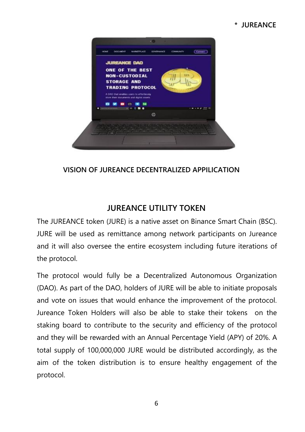#### **\* JUREANCE**



#### **VISION OF JUREANCE DECENTRALIZED APPILICATION**

# **JUREANCE UTILITY TOKEN**

The JUREANCE token (JURE) is a native asset on Binance Smart Chain (BSC). JURE will be used as remittance among network participants on Jureance and it will also oversee the entire ecosystem including future iterations of the protocol.

The protocol would fully be a Decentralized Autonomous Organization (DAO). As part of the DAO, holders of JURE will be able to initiate proposals and vote on issues that would enhance the improvement of the protocol. Jureance Token Holders will also be able to stake their tokens on the staking board to contribute to the security and efficiency of the protocol and they will be rewarded with an Annual Percentage Yield (APY) of 20%. A total supply of 100,000,000 JURE would be distributed accordingly, as the aim of the token distribution is to ensure healthy engagement of the protocol.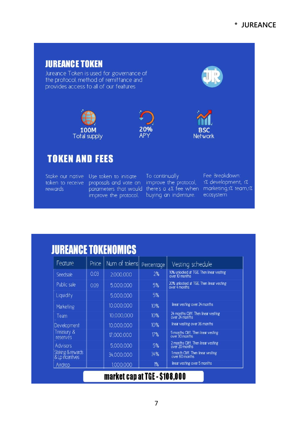# **JUREANCE TOKEN** Jureance Token is used for governance of the protocol, method of remittance and provides access to all of our features 20% **100M BSC** Total supply **AP Network**

**TOKEN AND FEES** 

Stake our native Use token to initiate token to receive proposals and vote on improve the protocol, 1% development, 1%<br>rewards parameters that would there's a 4% fee when marketing,1% team,1% improve the protocol. buying an indenture.

To continually and the state

Fee Breakdown: ecosystem

| Feature                              | Price | Num of tokens | Percentage | Vesting schedule                                          |
|--------------------------------------|-------|---------------|------------|-----------------------------------------------------------|
| Seedsale                             | 0.03  | 2,000,000     | 2%         | 10% unlocked at TGE Then linear vesting<br>over 10 months |
| Public sale                          | 0.09  | 5,000,000     | 5%         | 20% unlocked at TGE Then linear vesting<br>over 4 months  |
| Liquidity                            |       | 5,000,000     | 5%         |                                                           |
| Marketing                            |       | 10,000,000    | 10%        | linear vesting over 24 months                             |
| Team                                 |       | 10.000.000    | 10%        | 24 months Cliff. Then linear vesting<br>over 24 months    |
| Development                          |       | 10,000,000    | 10%        | linear vesting over 36 months                             |
| Treasury &<br>reserves               |       | 17,000,000    | 17%        | 5 months Cliff. Then linear vesting<br>over 30 months     |
| <b>Advisors</b>                      |       | 5,000,000     | 5%         | 2 months Cliff. Then linear vesting<br>over 20 months     |
| Staking & rewards<br>& Lp incentives |       | 34,000,000    | 34%        | 1 month Cliff. Then linear vesting<br>over 60 months      |
| Airdrop                              |       | 1,000,000     | 1%         | linear vesting over 5 months                              |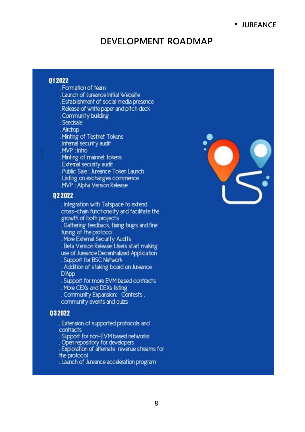### **DEVELOPMENT ROADMAP**

#### 012022

- . Formation of team
- . Launch of Jureance Initial Website
- . Establishment of social media presence
- . Release of white paper and pitch deck
- . Community building
- . Seedsale

. Airdrop

- . Minting of Testnet Tokens
- . Internal security audit

. MVP: Infro

. Minting of mainnet tokens

. External security audit

. Public Sale: Jureance Token Launch

- . Listing on exchanges commence
- . MVP : Alpha Version Release

#### 022022

. Integration with Tatspace to extend cross-chain functionality and facilitate the growth of both projects . Gathering feedback, fixing bugs and fine

tuning of the protocol

. More External Security Audits

. Beta Version Release: Users start making

use of Jureance Decentralized Application

. Support for BSC Network

. Addition of staking board on Jureance D'App

. Support for more EVM based contracts

. More CEXs and DEXs listing

. Community Expansion: Contests. community events and quizs

#### 032022

. Extension of supported protocols and contracts

Support for non-EVM based networks

. Open repository for developers<br>. Exploration of alternate revenue streams for the protocol

. Launch of Jureance acceleration program

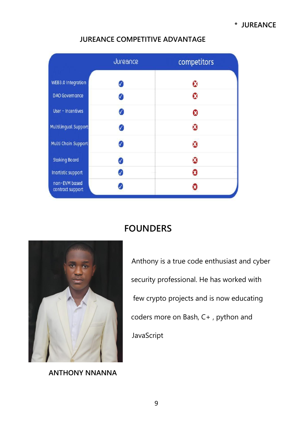|                                   | Jureance  | competitors |
|-----------------------------------|-----------|-------------|
| <b>WEB3.0 Integration</b>         | V         | Ñ           |
| <b>DAO Governance</b>             | Ø         | Ω           |
| User - Incentives                 | V         | Ω           |
| <b>Multilingual Support</b>       |           | a           |
| Multi Chain Support               | 7         | Ø           |
| <b>Staking Board</b>              | 0         | Ø           |
| Inartistic support                | $\sqrt{}$ | Ω           |
| non-EVM based<br>contract support |           | я           |

#### **JUREANCE COMPETITIVE ADVANTAGE**

# **FOUNDERS**



security professional. He has worked with few crypto projects and is now educating coders more on Bash, C+ , python and JavaScript

Anthony is a true code enthusiast and cyber

**ANTHONY NNANNA**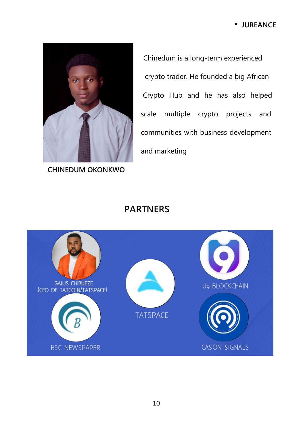

**CHINEDUM OKONKWO**

Chinedum is a long-term experienced crypto trader. He founded a big African Crypto Hub and he has also helped scale multiple crypto projects and communities with business development and marketing

# **PARTNERS**